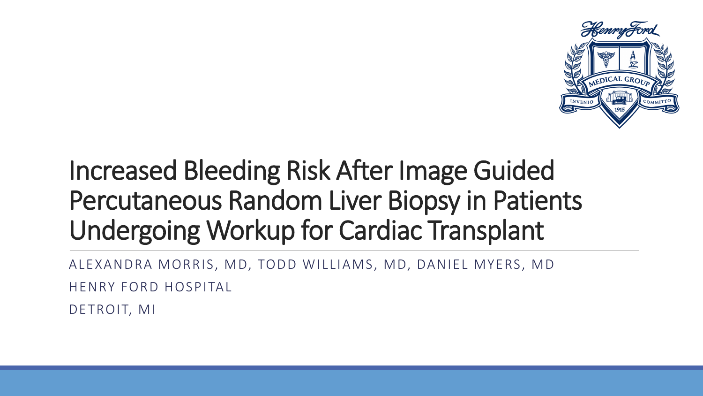

#### Increased Bleeding Risk After Image Guided Percutaneous Random Liver Biopsy in Patients Undergoing Workup for Cardiac Transplant

ALEXANDRA MORRIS, MD, TODD WILLIAMS, MD, DANIEL MYERS, MD HENRY FORD HOSPITAL DETROIT, MI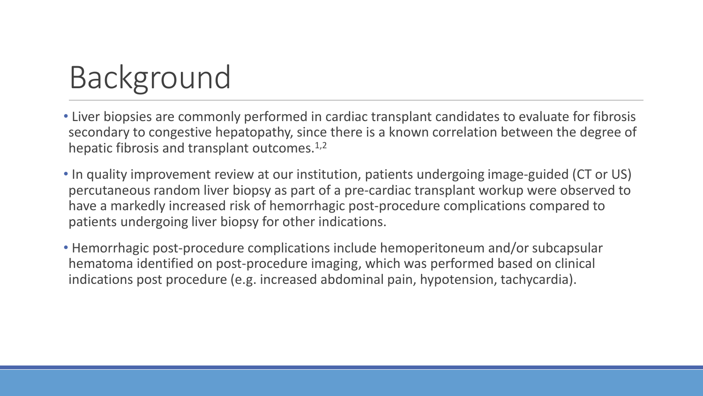# Background

- Liver biopsies are commonly performed in cardiac transplant candidates to evaluate for fibrosis secondary to congestive hepatopathy, since there is a known correlation between the degree of hepatic fibrosis and transplant outcomes.<sup>1,2</sup>
- In quality improvement review at our institution, patients undergoing image-guided (CT or US) percutaneous random liver biopsy as part of a pre-cardiac transplant workup were observed to have a markedly increased risk of hemorrhagic post-procedure complications compared to patients undergoing liver biopsy for other indications.
- Hemorrhagic post-procedure complications include hemoperitoneum and/or subcapsular hematoma identified on post-procedure imaging, which was performed based on clinical indications post procedure (e.g. increased abdominal pain, hypotension, tachycardia).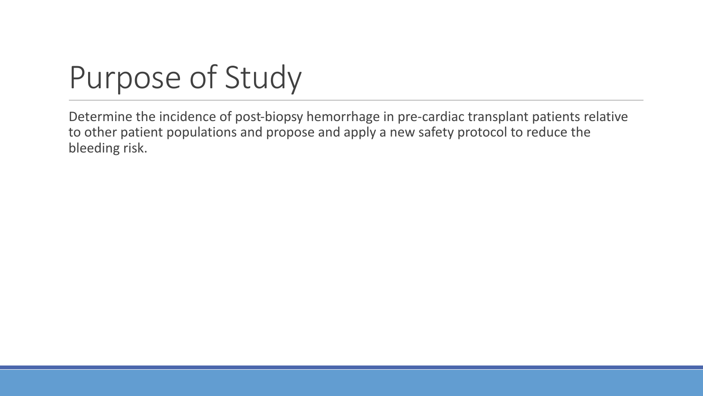# Purpose of Study

Determine the incidence of post-biopsy hemorrhage in pre-cardiac transplant patients relative to other patient populations and propose and apply a new safety protocol to reduce the bleeding risk.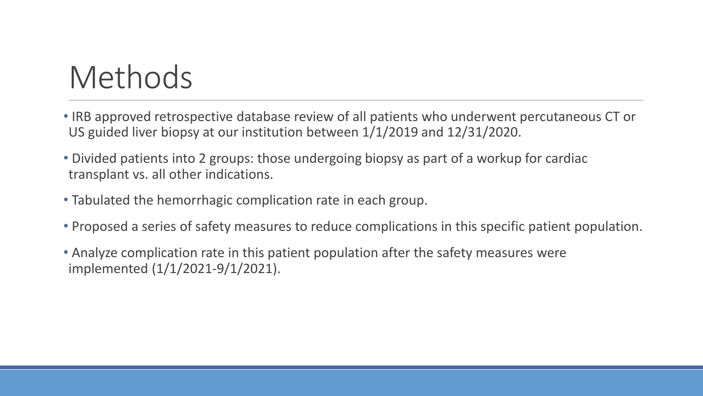## Methods

- IRB approved retrospective database review of all patients who underwent percutaneous CT or US guided liver biopsy at our institution between 1/1/2019 and 12/31/2020.
- Divided patients into 2 groups: those undergoing biopsy as part of a workup for cardiac transplant vs. all other indications.
- Tabulated the hemorrhagic complication rate in each group.
- Proposed a series of safety measures to reduce complications in this specific patient population.
- Analyze complication rate in this patient population after the safety measures were implemented (1/1/2021-9/1/2021).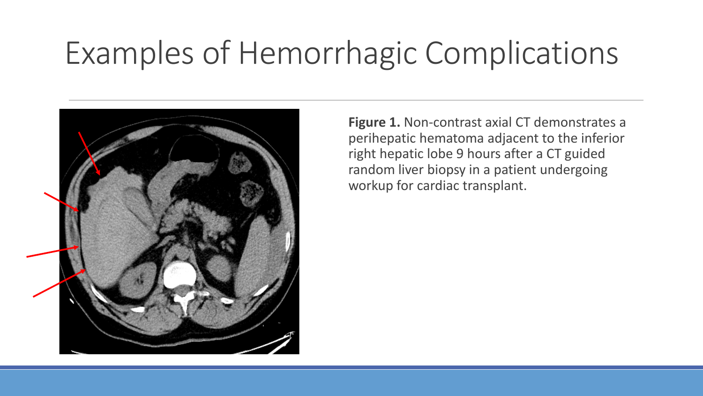### Examples of Hemorrhagic Complications



**Figure 1.** Non-contrast axial CT demonstrates a perihepatic hematoma adjacent to the inferior right hepatic lobe 9 hours after a CT guided random liver biopsy in a patient undergoing workup for cardiac transplant.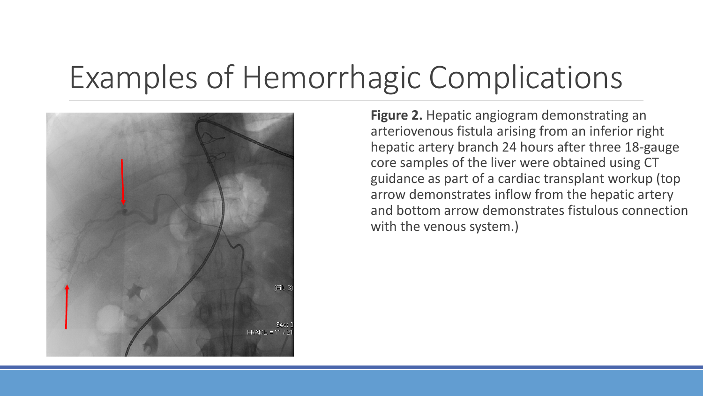# Examples of Hemorrhagic Complications



**Figure 2.** Hepatic angiogram demonstrating an arteriovenous fistula arising from an inferior right hepatic artery branch 24 hours after three 18-gauge core samples of the liver were obtained using CT guidance as part of a cardiac transplant workup (top arrow demonstrates inflow from the hepatic artery and bottom arrow demonstrates fistulous connection with the venous system.)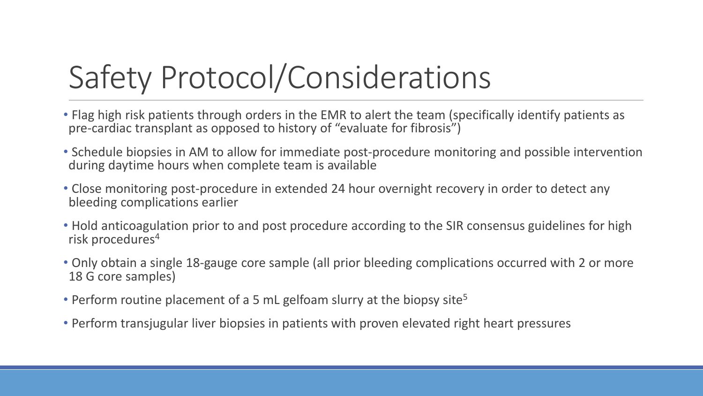# Safety Protocol/Considerations

- Flag high risk patients through orders in the EMR to alert the team (specifically identify patients as pre-cardiac transplant as opposed to history of "evaluate for fibrosis")
- Schedule biopsies in AM to allow for immediate post-procedure monitoring and possible intervention during daytime hours when complete team is available
- Close monitoring post-procedure in extended 24 hour overnight recovery in order to detect any bleeding complications earlier
- Hold anticoagulation prior to and post procedure according to the SIR consensus guidelines for high risk procedures<sup>4</sup>
- Only obtain a single 18-gauge core sample (all prior bleeding complications occurred with 2 or more 18 G core samples)
- Perform routine placement of a 5 mL gelfoam slurry at the biopsy site<sup>5</sup>
- Perform transjugular liver biopsies in patients with proven elevated right heart pressures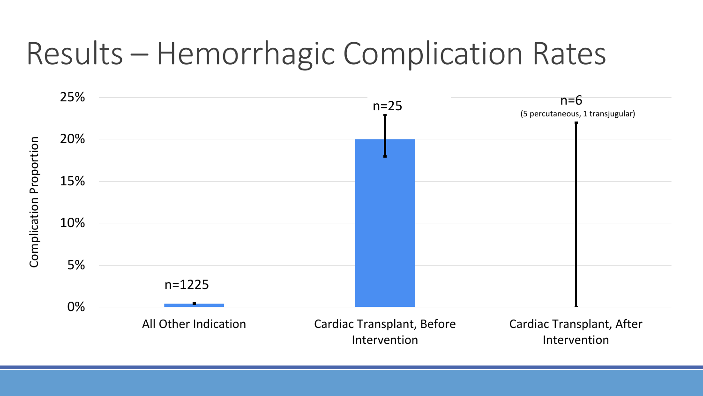## Results – Hemorrhagic Complication Rates

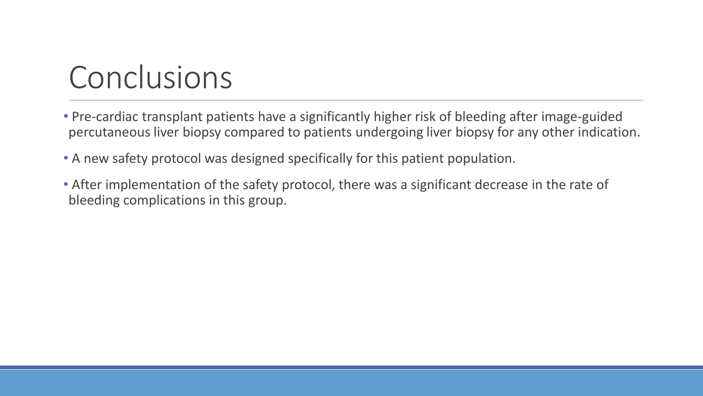## Conclusions

- Pre-cardiac transplant patients have a significantly higher risk of bleeding after image-guided percutaneous liver biopsy compared to patients undergoing liver biopsy for any other indication.
- A new safety protocol was designed specifically for this patient population.
- After implementation of the safety protocol, there was a significant decrease in the rate of bleeding complications in this group.